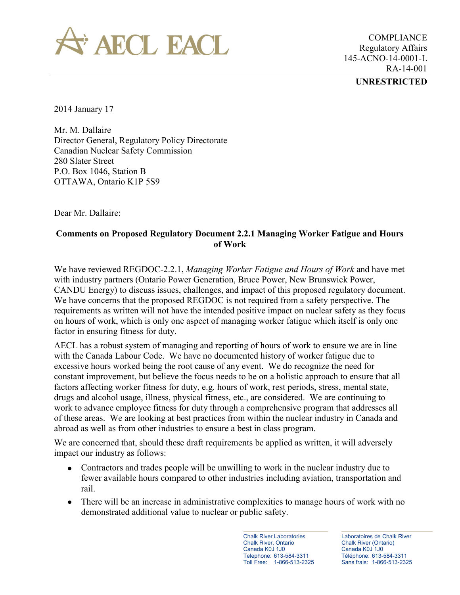

COMPLIANCE Regulatory Affairs 145-ACNO-14-0001-L RA-14-001

## **UNRESTRICTED**

2014 January 17

Mr. M. Dallaire Director General, Regulatory Policy Directorate Canadian Nuclear Safety Commission 280 Slater Street P.O. Box 1046, Station B OTTAWA, Ontario K1P 5S9

Dear Mr. Dallaire:

## **Comments on Proposed Regulatory Document 2.2.1 Managing Worker Fatigue and Hours of Work**

We have reviewed REGDOC-2.2.1, *Managing Worker Fatigue and Hours of Work* and have met with industry partners (Ontario Power Generation, Bruce Power, New Brunswick Power, CANDU Energy) to discuss issues, challenges, and impact of this proposed regulatory document. We have concerns that the proposed REGDOC is not required from a safety perspective. The requirements as written will not have the intended positive impact on nuclear safety as they focus on hours of work, which is only one aspect of managing worker fatigue which itself is only one factor in ensuring fitness for duty.

AECL has a robust system of managing and reporting of hours of work to ensure we are in line with the Canada Labour Code. We have no documented history of worker fatigue due to excessive hours worked being the root cause of any event. We do recognize the need for constant improvement, but believe the focus needs to be on a holistic approach to ensure that all factors affecting worker fitness for duty, e.g. hours of work, rest periods, stress, mental state, drugs and alcohol usage, illness, physical fitness, etc., are considered. We are continuing to work to advance employee fitness for duty through a comprehensive program that addresses all of these areas. We are looking at best practices from within the nuclear industry in Canada and abroad as well as from other industries to ensure a best in class program.

We are concerned that, should these draft requirements be applied as written, it will adversely impact our industry as follows:

- Contractors and trades people will be unwilling to work in the nuclear industry due to fewer available hours compared to other industries including aviation, transportation and rail.
- There will be an increase in administrative complexities to manage hours of work with no demonstrated additional value to nuclear or public safety.

Chalk River Laboratories Chalk River, Ontario Canada K0J 1J0 Telephone: 613-584-3311 Toll Free: 1-866-513-2325 Laboratoires de Chalk River Chalk River (Ontario) Canada K0J 1J0 Téléphone: 613-584-3311 Sans frais: 1-866-513-2325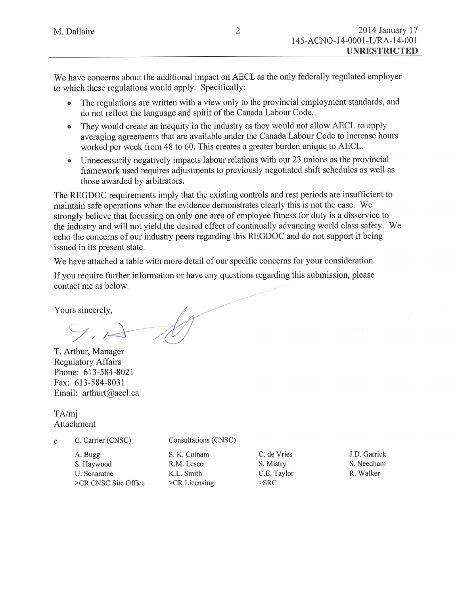We have concerns about the additional impact on AECL as the only federally regulated employer to which these regulations would apply. Specifically:

- The regulations are written with a view only to the provincial employment standards, and  $\bullet$ do not reflect the language and spirit of the Canada Labour Code.
- They would create an inequity in the industry as they would not allow AECL to apply  $\bullet$ averaging agreements that are available under the Canada Labour Code to increase hours worked per week from 48 to 60. This creates a greater burden unique to AECL.
- Unnecessarily negatively impacts labour relations with our 23 unions as the provincial framework used requires adjustments to previously negotiated shift schedules as well as those awarded by arbitrators.

The REGDOC requirements imply that the existing controls and rest periods are insufficient to maintain safe operations when the evidence demonstrates clearly this is not the case. We strongly believe that focussing on only one area of employee fitness for duty is a disservice to the industry and will not yield the desired effect of continually advancing world class safety. We echo the concerns of our industry peers regarding this REGDOC and do not support it being issued in its present state.

We have attached a table with more detail of our specific concerns for your consideration.

If you require further information or have any questions regarding this submission, please contact me as below.

Yours sincerely,

T. Arthur, Manager **Regulatory Affairs** Phone: 613-584-8021 Fax: 613-584-8031 Email: arthurt@aecl.ca

TA/mi Attachment

C. Carrier (CNSC)  $\mathbf{c}$ 

Consultations (CNSC)

A. Bugg S. Haywood U. Senaratne >CR CNSC Site Office

S. K. Cotnam R.M. Lesco K.L. Smith >CR Licensing

C. de Vries S. Mistry C.E. Taylor  $>$ SRC

J.D. Garrick S. Needham R. Walker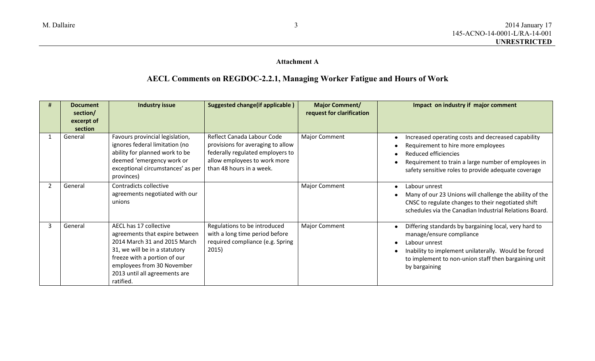## **Attachment A**

## **AECL Comments on REGDOC-2.2.1, Managing Worker Fatigue and Hours of Work**

|   | <b>Document</b><br>section/<br>excerpt of<br>section | <b>Industry issue</b>                                                                                                                                                                                                                 | <b>Suggested change (if applicable)</b>                                                                                                                         | <b>Major Comment/</b><br>request for clarification | Impact on industry if major comment                                                                                                                                                                                                 |
|---|------------------------------------------------------|---------------------------------------------------------------------------------------------------------------------------------------------------------------------------------------------------------------------------------------|-----------------------------------------------------------------------------------------------------------------------------------------------------------------|----------------------------------------------------|-------------------------------------------------------------------------------------------------------------------------------------------------------------------------------------------------------------------------------------|
|   | General                                              | Favours provincial legislation,<br>ignores federal limitation (no<br>ability for planned work to be<br>deemed 'emergency work or<br>exceptional circumstances' as per<br>provinces)                                                   | Reflect Canada Labour Code<br>provisions for averaging to allow<br>federally regulated employers to<br>allow employees to work more<br>than 48 hours in a week. | <b>Major Comment</b>                               | Increased operating costs and decreased capability<br>Requirement to hire more employees<br>Reduced efficiencies<br>Requirement to train a large number of employees in<br>safety sensitive roles to provide adequate coverage      |
|   | General                                              | Contradicts collective<br>agreements negotiated with our<br>unions                                                                                                                                                                    |                                                                                                                                                                 | <b>Major Comment</b>                               | Labour unrest<br>Many of our 23 Unions will challenge the ability of the<br>CNSC to regulate changes to their negotiated shift<br>schedules via the Canadian Industrial Relations Board.                                            |
| 3 | General                                              | AECL has 17 collective<br>agreements that expire between<br>2014 March 31 and 2015 March<br>31, we will be in a statutory<br>freeze with a portion of our<br>employees from 30 November<br>2013 until all agreements are<br>ratified. | Regulations to be introduced<br>with a long time period before<br>required compliance (e.g. Spring<br>2015)                                                     | <b>Major Comment</b>                               | Differing standards by bargaining local, very hard to<br>manage/ensure compliance<br>Labour unrest<br>Inability to implement unilaterally. Would be forced<br>to implement to non-union staff then bargaining unit<br>by bargaining |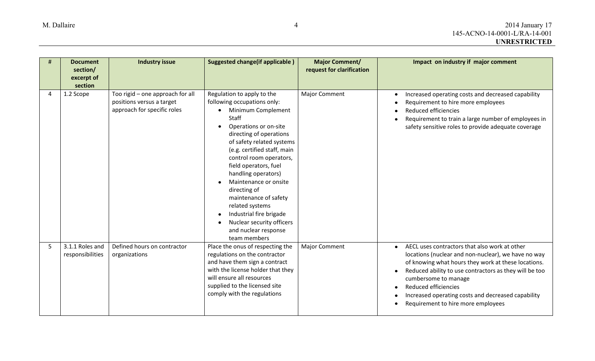|                | <b>Document</b><br>section/<br>excerpt of<br>section | <b>Industry issue</b>                                                                        | <b>Suggested change (if applicable)</b>                                                                                                                                                                                                                                                                                                                                                                                                                                                            | <b>Major Comment/</b><br>request for clarification | Impact on industry if major comment                                                                                                                                                                                                                                                                                                                                            |
|----------------|------------------------------------------------------|----------------------------------------------------------------------------------------------|----------------------------------------------------------------------------------------------------------------------------------------------------------------------------------------------------------------------------------------------------------------------------------------------------------------------------------------------------------------------------------------------------------------------------------------------------------------------------------------------------|----------------------------------------------------|--------------------------------------------------------------------------------------------------------------------------------------------------------------------------------------------------------------------------------------------------------------------------------------------------------------------------------------------------------------------------------|
| $\overline{4}$ | 1.2 Scope                                            | Too rigid - one approach for all<br>positions versus a target<br>approach for specific roles | Regulation to apply to the<br>following occupations only:<br>Minimum Complement<br>Staff<br>Operations or on-site<br>directing of operations<br>of safety related systems<br>(e.g. certified staff, main<br>control room operators,<br>field operators, fuel<br>handling operators)<br>Maintenance or onsite<br>directing of<br>maintenance of safety<br>related systems<br>Industrial fire brigade<br>$\bullet$<br>Nuclear security officers<br>$\bullet$<br>and nuclear response<br>team members | <b>Major Comment</b>                               | Increased operating costs and decreased capability<br>Requirement to hire more employees<br>Reduced efficiencies<br>Requirement to train a large number of employees in<br>safety sensitive roles to provide adequate coverage                                                                                                                                                 |
| 5              | 3.1.1 Roles and<br>responsibilities                  | Defined hours on contractor<br>organizations                                                 | Place the onus of respecting the<br>regulations on the contractor<br>and have them sign a contract<br>with the license holder that they<br>will ensure all resources<br>supplied to the licensed site<br>comply with the regulations                                                                                                                                                                                                                                                               | <b>Major Comment</b>                               | AECL uses contractors that also work at other<br>$\bullet$<br>locations (nuclear and non-nuclear), we have no way<br>of knowing what hours they work at these locations.<br>Reduced ability to use contractors as they will be too<br>cumbersome to manage<br>Reduced efficiencies<br>Increased operating costs and decreased capability<br>Requirement to hire more employees |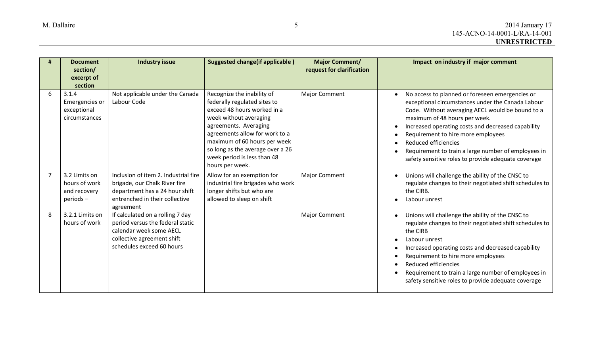|   | <b>Document</b><br>section/<br>excerpt of<br>section       | <b>Industry issue</b>                                                                                                                                      | <b>Suggested change (if applicable)</b>                                                                                                                                                                                                                                                              | <b>Major Comment/</b><br>request for clarification | Impact on industry if major comment                                                                                                                                                                                                                                                                                                                                                                                         |
|---|------------------------------------------------------------|------------------------------------------------------------------------------------------------------------------------------------------------------------|------------------------------------------------------------------------------------------------------------------------------------------------------------------------------------------------------------------------------------------------------------------------------------------------------|----------------------------------------------------|-----------------------------------------------------------------------------------------------------------------------------------------------------------------------------------------------------------------------------------------------------------------------------------------------------------------------------------------------------------------------------------------------------------------------------|
| 6 | 3.1.4<br>Emergencies or<br>exceptional<br>circumstances    | Not applicable under the Canada<br>Labour Code                                                                                                             | Recognize the inability of<br>federally regulated sites to<br>exceed 48 hours worked in a<br>week without averaging<br>agreements. Averaging<br>agreements allow for work to a<br>maximum of 60 hours per week<br>so long as the average over a 26<br>week period is less than 48<br>hours per week. | <b>Major Comment</b>                               | No access to planned or foreseen emergencies or<br>exceptional circumstances under the Canada Labour<br>Code. Without averaging AECL would be bound to a<br>maximum of 48 hours per week.<br>Increased operating costs and decreased capability<br>Requirement to hire more employees<br>Reduced efficiencies<br>Requirement to train a large number of employees in<br>safety sensitive roles to provide adequate coverage |
|   | 3.2 Limits on<br>hours of work<br>and recovery<br>periods- | Inclusion of item 2. Industrial fire<br>brigade, our Chalk River fire<br>department has a 24 hour shift<br>entrenched in their collective<br>agreement     | Allow for an exemption for<br>industrial fire brigades who work<br>longer shifts but who are<br>allowed to sleep on shift                                                                                                                                                                            | <b>Major Comment</b>                               | Unions will challenge the ability of the CNSC to<br>$\bullet$<br>regulate changes to their negotiated shift schedules to<br>the CIRB.<br>Labour unrest                                                                                                                                                                                                                                                                      |
| 8 | 3.2.1 Limits on<br>hours of work                           | If calculated on a rolling 7 day<br>period versus the federal static<br>calendar week some AECL<br>collective agreement shift<br>schedules exceed 60 hours |                                                                                                                                                                                                                                                                                                      | <b>Major Comment</b>                               | Unions will challenge the ability of the CNSC to<br>regulate changes to their negotiated shift schedules to<br>the CIRB<br>Labour unrest<br>Increased operating costs and decreased capability<br>Requirement to hire more employees<br>Reduced efficiencies<br>Requirement to train a large number of employees in<br>safety sensitive roles to provide adequate coverage                                                  |